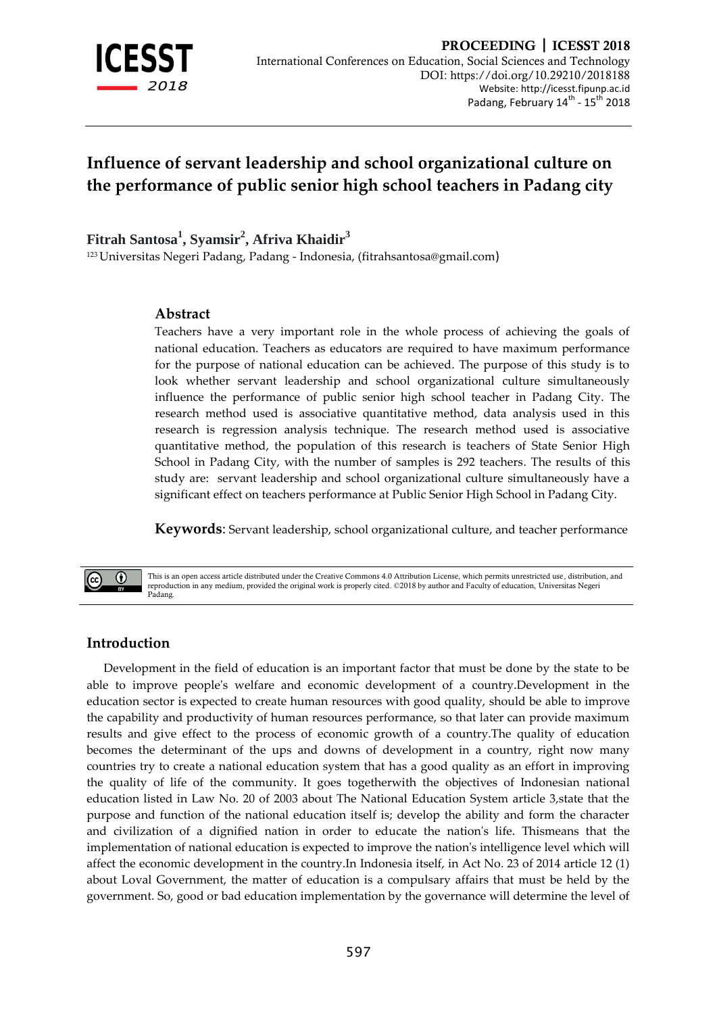

# **Influence of servant leadership and school organizational culture on the performance of public senior high school teachers in Padang city**

**Fitrah Santosa<sup>1</sup> , Syamsir<sup>2</sup> , Afriva Khaidir<sup>3</sup>**

<sup>123</sup> Universitas Negeri Padang, Padang - Indonesia, [\(fitrahsantosa@gmail.com](mailto:fitrahsantosa@gmail.com))

#### **Abstract**

Teachers have a very important role in the whole process of achieving the goals of national education. Teachers as educators are required to have maximum performance for the purpose of national education can be achieved. The purpose of this study is to look whether servant leadership and school organizational culture simultaneously influence the performance of public senior high school teacher in Padang City. The research method used is associative quantitative method, data analysis used in this research is regression analysis technique. The research method used is associative quantitative method, the population of this research is teachers of State Senior High School in Padang City, with the number of samples is 292 teachers. The results of this study are: servant leadership and school organizational culture simultaneously have a significant effect on teachers performance at Public Senior High School in Padang City.

**Keywords**: Servant leadership, school organizational culture, and teacher performance



This is an open access article distributed under the Creative Commons 4.0 Attribution License, which permits unrestricted use, distribution, and reproduction in any medium, provided the original work is properly cited. ©2018 by author and Faculty of education, Universitas Negeri Padang.

### **Introduction**

Development in the field of education is an important factor that must be done by the state to be able to improve people's welfare and economic development of a country.Development in the education sector is expected to create human resources with good quality, should be able to improve the capability and productivity of human resources performance, so that later can provide maximum results and give effect to the process of economic growth of a country.The quality of education becomes the determinant of the ups and downs of development in a country, right now many countries try to create a national education system that has a good quality as an effort in improving the quality of life of the community. It goes togetherwith the objectives of Indonesian national education listed in Law No. 20 of 2003 about The National Education System article 3,state that the purpose and function of the national education itself is; develop the ability and form the character and civilization of a dignified nation in order to educate the nation's life. Thismeans that the implementation of national education is expected to improve the nation's intelligence level which will affect the economic development in the country.In Indonesia itself, in Act No. 23 of 2014 article 12 (1) about Loval Government, the matter of education is a compulsary affairs that must be held by the government. So, good or bad education implementation by the governance will determine the level of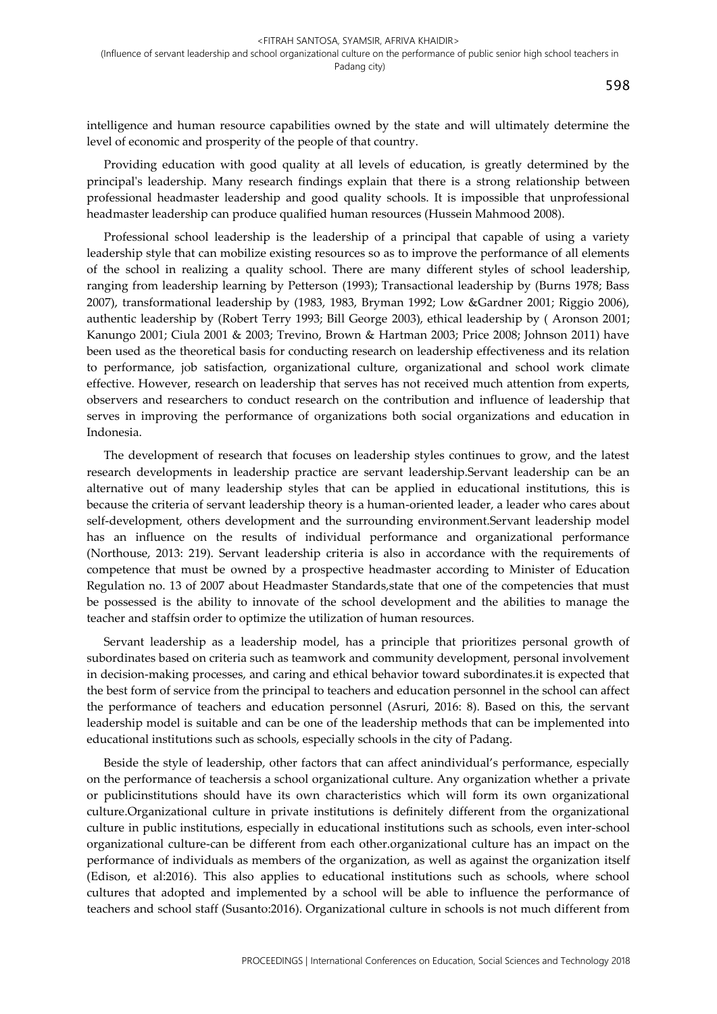intelligence and human resource capabilities owned by the state and will ultimately determine the level of economic and prosperity of the people of that country.

Providing education with good quality at all levels of education, is greatly determined by the principal's leadership. Many research findings explain that there is a strong relationship between professional headmaster leadership and good quality schools. It is impossible that unprofessional headmaster leadership can produce qualified human resources (Hussein Mahmood 2008).

Professional school leadership is the leadership of a principal that capable of using a variety leadership style that can mobilize existing resources so as to improve the performance of all elements of the school in realizing a quality school. There are many different styles of school leadership, ranging from leadership learning by Petterson (1993); Transactional leadership by (Burns 1978; Bass 2007), transformational leadership by (1983, 1983, Bryman 1992; Low &Gardner 2001; Riggio 2006), authentic leadership by (Robert Terry 1993; Bill George 2003), ethical leadership by ( Aronson 2001; Kanungo 2001; Ciula 2001 & 2003; Trevino, Brown & Hartman 2003; Price 2008; Johnson 2011) have been used as the theoretical basis for conducting research on leadership effectiveness and its relation to performance, job satisfaction, organizational culture, organizational and school work climate effective. However, research on leadership that serves has not received much attention from experts, observers and researchers to conduct research on the contribution and influence of leadership that serves in improving the performance of organizations both social organizations and education in Indonesia.

The development of research that focuses on leadership styles continues to grow, and the latest research developments in leadership practice are servant leadership.Servant leadership can be an alternative out of many leadership styles that can be applied in educational institutions, this is because the criteria of servant leadership theory is a human-oriented leader, a leader who cares about self-development, others development and the surrounding environment.Servant leadership model has an influence on the results of individual performance and organizational performance (Northouse, 2013: 219). Servant leadership criteria is also in accordance with the requirements of competence that must be owned by a prospective headmaster according to Minister of Education Regulation no. 13 of 2007 about Headmaster Standards,state that one of the competencies that must be possessed is the ability to innovate of the school development and the abilities to manage the teacher and staffsin order to optimize the utilization of human resources.

Servant leadership as a leadership model, has a principle that prioritizes personal growth of subordinates based on criteria such as teamwork and community development, personal involvement in decision-making processes, and caring and ethical behavior toward subordinates.it is expected that the best form of service from the principal to teachers and education personnel in the school can affect the performance of teachers and education personnel (Asruri, 2016: 8). Based on this, the servant leadership model is suitable and can be one of the leadership methods that can be implemented into educational institutions such as schools, especially schools in the city of Padang.

Beside the style of leadership, other factors that can affect anindividual's performance, especially on the performance of teachersis a school organizational culture. Any organization whether a private or publicinstitutions should have its own characteristics which will form its own organizational culture.Organizational culture in private institutions is definitely different from the organizational culture in public institutions, especially in educational institutions such as schools, even inter-school organizational culture-can be different from each other.organizational culture has an impact on the performance of individuals as members of the organization, as well as against the organization itself (Edison, et al:2016). This also applies to educational institutions such as schools, where school cultures that adopted and implemented by a school will be able to influence the performance of teachers and school staff (Susanto:2016). Organizational culture in schools is not much different from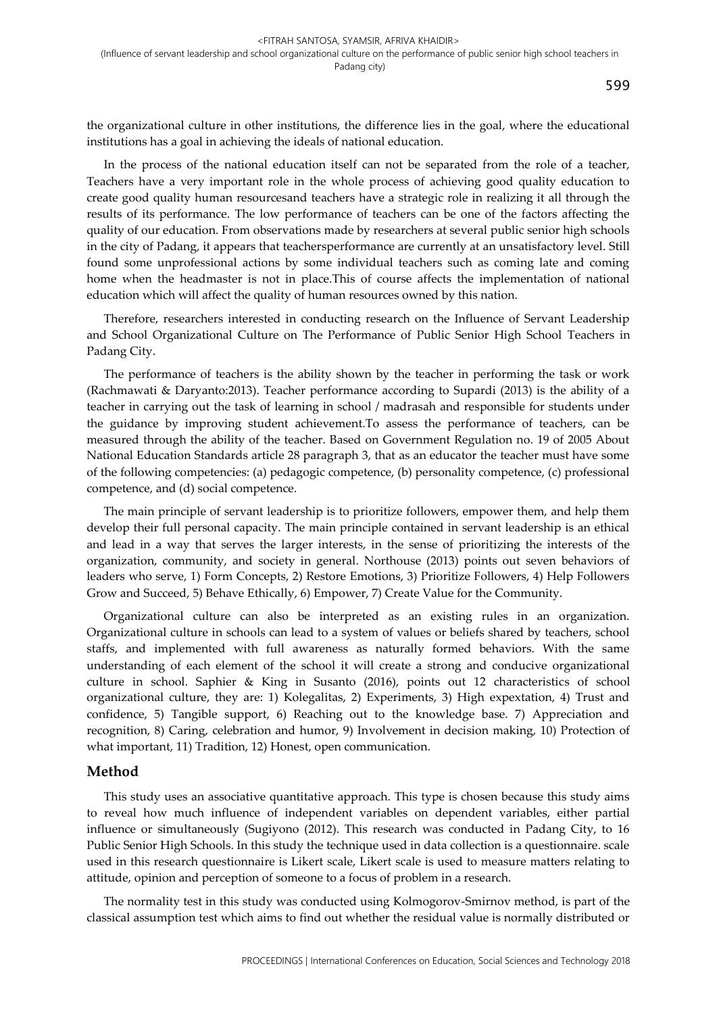the organizational culture in other institutions, the difference lies in the goal, where the educational institutions has a goal in achieving the ideals of national education.

In the process of the national education itself can not be separated from the role of a teacher, Teachers have a very important role in the whole process of achieving good quality education to create good quality human resourcesand teachers have a strategic role in realizing it all through the results of its performance. The low performance of teachers can be one of the factors affecting the quality of our education. From observations made by researchers at several public senior high schools in the city of Padang, it appears that teachersperformance are currently at an unsatisfactory level. Still found some unprofessional actions by some individual teachers such as coming late and coming home when the headmaster is not in place.This of course affects the implementation of national education which will affect the quality of human resources owned by this nation.

Therefore, researchers interested in conducting research on the Influence of Servant Leadership and School Organizational Culture on The Performance of Public Senior High School Teachers in Padang City.

The performance of teachers is the ability shown by the teacher in performing the task or work (Rachmawati & Daryanto:2013). Teacher performance according to Supardi (2013) is the ability of a teacher in carrying out the task of learning in school / madrasah and responsible for students under the guidance by improving student achievement.To assess the performance of teachers, can be measured through the ability of the teacher. Based on Government Regulation no. 19 of 2005 About National Education Standards article 28 paragraph 3, that as an educator the teacher must have some of the following competencies: (a) pedagogic competence, (b) personality competence, (c) professional competence, and (d) social competence.

The main principle of servant leadership is to prioritize followers, empower them, and help them develop their full personal capacity. The main principle contained in servant leadership is an ethical and lead in a way that serves the larger interests, in the sense of prioritizing the interests of the organization, community, and society in general. Northouse (2013) points out seven behaviors of leaders who serve, 1) Form Concepts, 2) Restore Emotions, 3) Prioritize Followers, 4) Help Followers Grow and Succeed, 5) Behave Ethically, 6) Empower, 7) Create Value for the Community.

Organizational culture can also be interpreted as an existing rules in an organization. Organizational culture in schools can lead to a system of values or beliefs shared by teachers, school staffs, and implemented with full awareness as naturally formed behaviors. With the same understanding of each element of the school it will create a strong and conducive organizational culture in school. Saphier & King in Susanto (2016), points out 12 characteristics of school organizational culture, they are: 1) Kolegalitas, 2) Experiments, 3) High expextation, 4) Trust and confidence, 5) Tangible support, 6) Reaching out to the knowledge base. 7) Appreciation and recognition, 8) Caring, celebration and humor, 9) Involvement in decision making, 10) Protection of what important, 11) Tradition, 12) Honest, open communication.

#### **Method**

This study uses an associative quantitative approach. This type is chosen because this study aims to reveal how much influence of independent variables on dependent variables, either partial influence or simultaneously (Sugiyono (2012). This research was conducted in Padang City, to 16 Public Senior High Schools. In this study the technique used in data collection is a questionnaire. scale used in this research questionnaire is Likert scale, Likert scale is used to measure matters relating to attitude, opinion and perception of someone to a focus of problem in a research.

The normality test in this study was conducted using Kolmogorov-Smirnov method, is part of the classical assumption test which aims to find out whether the residual value is normally distributed or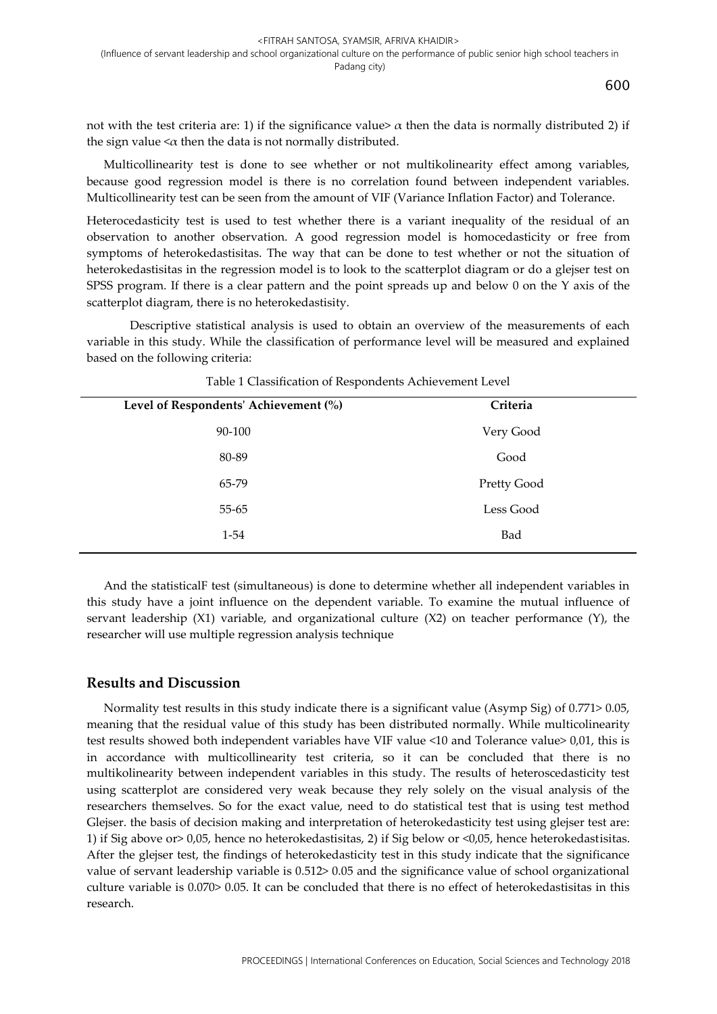600

not with the test criteria are: 1) if the significance value>  $\alpha$  then the data is normally distributed 2) if the sign value  $\langle \alpha \rangle$  then the data is not normally distributed.

Multicollinearity test is done to see whether or not multikolinearity effect among variables, because good regression model is there is no correlation found between independent variables. Multicollinearity test can be seen from the amount of VIF (Variance Inflation Factor) and Tolerance.

Heterocedasticity test is used to test whether there is a variant inequality of the residual of an observation to another observation. A good regression model is homocedasticity or free from symptoms of heterokedastisitas. The way that can be done to test whether or not the situation of heterokedastisitas in the regression model is to look to the scatterplot diagram or do a glejser test on SPSS program. If there is a clear pattern and the point spreads up and below 0 on the Y axis of the scatterplot diagram, there is no heterokedastisity.

Descriptive statistical analysis is used to obtain an overview of the measurements of each variable in this study. While the classification of performance level will be measured and explained based on the following criteria:

| Level of Respondents' Achievement (%) | Criteria    |
|---------------------------------------|-------------|
| 90-100                                | Very Good   |
| 80-89                                 | Good        |
| 65-79                                 | Pretty Good |
| 55-65                                 | Less Good   |
| $1 - 54$                              | Bad         |
|                                       |             |

Table 1 Classification of Respondents Achievement Level

And the statisticalF test (simultaneous) is done to determine whether all independent variables in this study have a joint influence on the dependent variable. To examine the mutual influence of servant leadership  $(X1)$  variable, and organizational culture  $(X2)$  on teacher performance  $(Y)$ , the researcher will use multiple regression analysis technique

### **Results and Discussion**

Normality test results in this study indicate there is a significant value (Asymp Sig) of 0.771> 0.05, meaning that the residual value of this study has been distributed normally. While multicolinearity test results showed both independent variables have VIF value <10 and Tolerance value> 0,01, this is in accordance with multicollinearity test criteria, so it can be concluded that there is no multikolinearity between independent variables in this study. The results of heteroscedasticity test using scatterplot are considered very weak because they rely solely on the visual analysis of the researchers themselves. So for the exact value, need to do statistical test that is using test method Glejser. the basis of decision making and interpretation of heterokedasticity test using glejser test are: 1) if Sig above or> 0,05, hence no heterokedastisitas, 2) if Sig below or <0,05, hence heterokedastisitas. After the glejser test, the findings of heterokedasticity test in this study indicate that the significance value of servant leadership variable is 0.512> 0.05 and the significance value of school organizational culture variable is 0.070> 0.05. It can be concluded that there is no effect of heterokedastisitas in this research.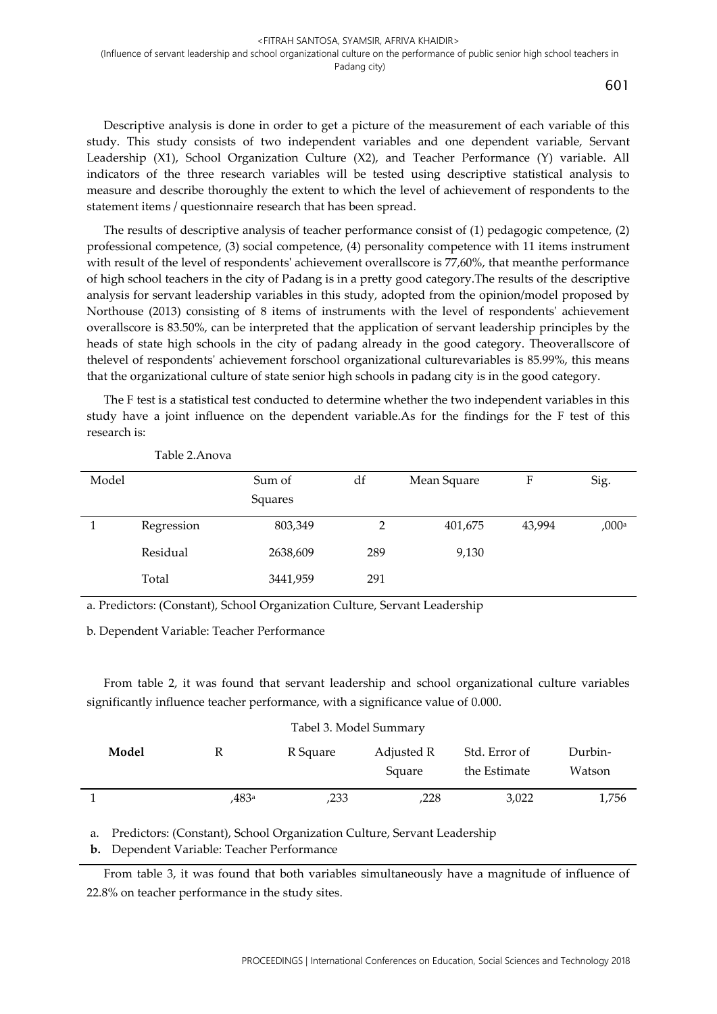601

Descriptive analysis is done in order to get a picture of the measurement of each variable of this study. This study consists of two independent variables and one dependent variable, Servant Leadership (X1), School Organization Culture (X2), and Teacher Performance (Y) variable. All indicators of the three research variables will be tested using descriptive statistical analysis to measure and describe thoroughly the extent to which the level of achievement of respondents to the statement items / questionnaire research that has been spread.

The results of descriptive analysis of teacher performance consist of (1) pedagogic competence, (2) professional competence, (3) social competence, (4) personality competence with 11 items instrument with result of the level of respondents' achievement overallscore is 77,60%, that meanthe performance of high school teachers in the city of Padang is in a pretty good category.The results of the descriptive analysis for servant leadership variables in this study, adopted from the opinion/model proposed by Northouse (2013) consisting of 8 items of instruments with the level of respondents' achievement overallscore is 83.50%, can be interpreted that the application of servant leadership principles by the heads of state high schools in the city of padang already in the good category. Theoverallscore of thelevel of respondents' achievement forschool organizational culturevariables is 85.99%, this means that the organizational culture of state senior high schools in padang city is in the good category.

The F test is a statistical test conducted to determine whether the two independent variables in this study have a joint influence on the dependent variable.As for the findings for the F test of this research is:

| Model |            | Sum of<br>Squares | df  | Mean Square | F      | Sig.                |
|-------|------------|-------------------|-----|-------------|--------|---------------------|
|       | Regression | 803,349           | 2   | 401,675     | 43,994 | $,000$ <sup>a</sup> |
|       | Residual   | 2638,609          | 289 | 9,130       |        |                     |
|       | Total      | 3441,959          | 291 |             |        |                     |

Table 2.Anova

a. Predictors: (Constant), School Organization Culture, Servant Leadership

b. Dependent Variable: Teacher Performance

From table 2, it was found that servant leadership and school organizational culture variables significantly influence teacher performance, with a significance value of 0.000.

| Tabel 3. Model Summary |       |          |            |               |         |  |  |  |
|------------------------|-------|----------|------------|---------------|---------|--|--|--|
| Model                  | ĸ     | R Square | Adjusted R | Std. Error of | Durbin- |  |  |  |
|                        |       |          | Square     | the Estimate  | Watson  |  |  |  |
|                        | .483ª | ,233     | 228,       | 3,022         | 1,756   |  |  |  |

a. Predictors: (Constant), School Organization Culture, Servant Leadership

**b.** Dependent Variable: Teacher Performance

From table 3, it was found that both variables simultaneously have a magnitude of influence of 22.8% on teacher performance in the study sites.